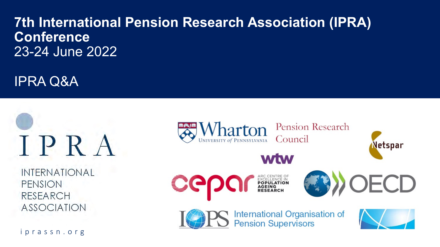## **7th International Pension Research Association (IPRA) Conference** 23-24 June 2022

IPRA Q&A



**INTERNATIONAL PENSION RESEARCH ASSOCIATION** 

iprassn.org

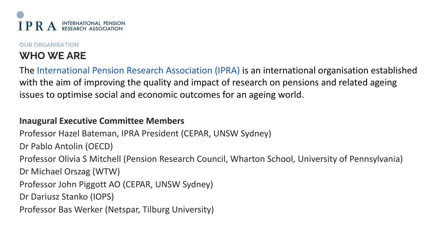

#### **OUR ORGANISATION**

## **WHO WE ARE**

The International Pension Research Association (IPRA) is an international organisation established with the aim of improving the quality and impact of research on pensions and related ageing issues to optimise social and economic outcomes for an ageing world.

#### **Inaugural Executive Committee Members**

Professor Hazel Bateman, IPRA President (CEPAR, UNSW Sydney)

Dr Pablo Antolin (OECD)

Professor Olivia S Mitchell (Pension Research Council, Wharton School, University of Pennsylvania)

Dr Michael Orszag (WTW)

Professor John Piggott AO (CEPAR, UNSW Sydney)

Dr Dariusz Stanko (IOPS)

Professor Bas Werker (Netspar, Tilburg University)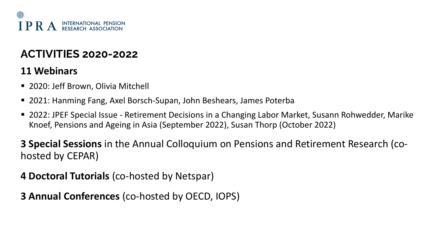

## **ACTIVITIES 2020-2022**

#### **11 Webinars**

- 2020: Jeff Brown, Olivia Mitchell
- 2021: Hanming Fang, Axel Borsch-Supan, John Beshears, James Poterba
- 2022: JPEF Special Issue Retirement Decisions in a Changing Labor Market, Susann Rohwedder, Marike Knoef, Pensions and Ageing in Asia (September 2022), Susan Thorp (October 2022)

**3 Special Sessions** in the Annual Colloquium on Pensions and Retirement Research (cohosted by CEPAR)

**4 Doctoral Tutorials** (co-hosted by Netspar)

**3 Annual Conferences** (co-hosted by OECD, IOPS)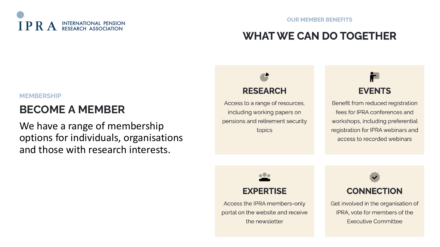

## **WHAT WE CAN DO TOGETHER**

#### **MEMBERSHIP**

## **BECOME A MEMBER**

We have a range of membership options for individuals, organisations and those with research interests.

# **RESEARCH**

Access to a range of resources, including working papers on pensions and retirement security topics

## i. **EVENTS**

Benefit from reduced registration fees for IPRA conferences and workshops, including preferential registration for IPRA webinars and access to recorded webinars

# **EXPERTISE**

**.0.** 

Access the IPRA members-only portal on the website and receive the newsletter



Get involved in the organisation of IPRA, vote for members of the Executive Committee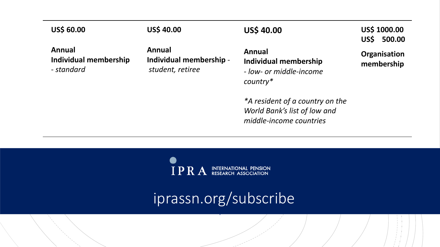#### **US\$ 60.00**

#### **US\$ 40.00**

**US\$ 40.00**

**US\$ 1000.00 US\$ 500.00**

**Annual Individual membership**  - *standard*

**Annual Individual membership**  *student, retiree*

**Annual Individual membership**  - *low- or middle-income country\**

*\*A resident of a country on the World Bank's list of low and middle-income countries*

**Organisation membership** 

 $IPRA$  INTERNATIONAL PENSION

iprassn.org/subscribe